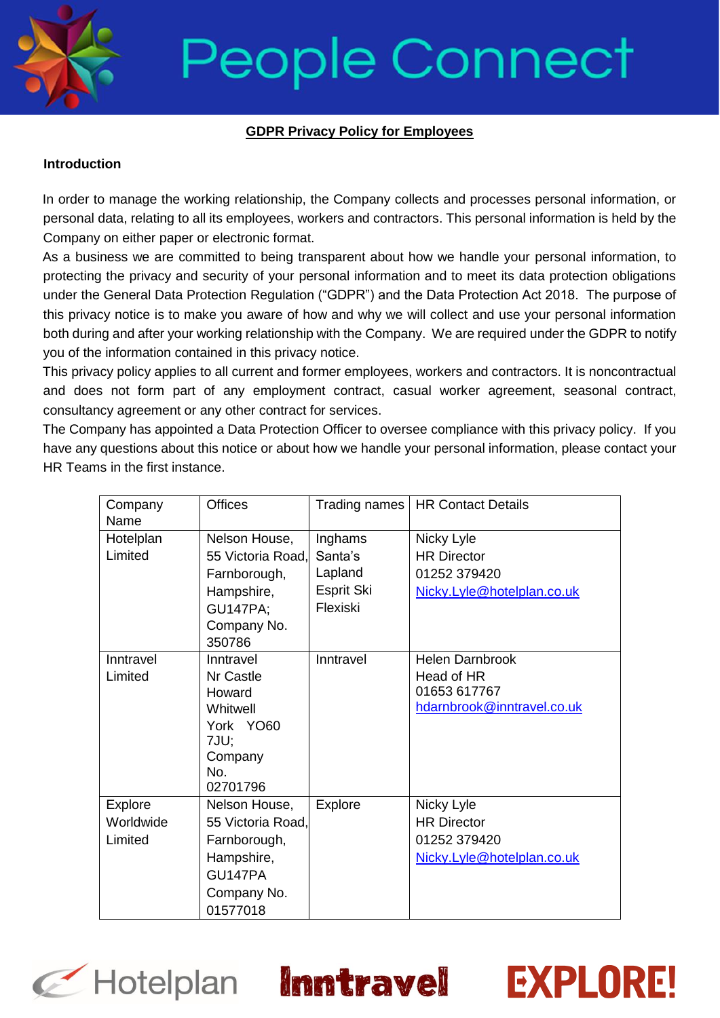

### **GDPR Privacy Policy for Employees**

#### **Introduction**

In order to manage the working relationship, the Company collects and processes personal information, or personal data, relating to all its employees, workers and contractors. This personal information is held by the Company on either paper or electronic format.

As a business we are committed to being transparent about how we handle your personal information, to protecting the privacy and security of your personal information and to meet its data protection obligations under the General Data Protection Regulation ("GDPR") and the Data Protection Act 2018. The purpose of this privacy notice is to make you aware of how and why we will collect and use your personal information both during and after your working relationship with the Company. We are required under the GDPR to notify you of the information contained in this privacy notice.

This privacy policy applies to all current and former employees, workers and contractors. It is noncontractual and does not form part of any employment contract, casual worker agreement, seasonal contract, consultancy agreement or any other contract for services.

The Company has appointed a Data Protection Officer to oversee compliance with this privacy policy. If you have any questions about this notice or about how we handle your personal information, please contact your HR Teams in the first instance.

| Company   | <b>Offices</b>    | Trading names | <b>HR Contact Details</b>  |
|-----------|-------------------|---------------|----------------------------|
| Name      |                   |               |                            |
| Hotelplan | Nelson House,     | Inghams       | Nicky Lyle                 |
| Limited   | 55 Victoria Road, | Santa's       | <b>HR Director</b>         |
|           | Farnborough,      | Lapland       | 01252 379420               |
|           | Hampshire,        | Esprit Ski    | Nicky.Lyle@hotelplan.co.uk |
|           | <b>GU147PA;</b>   | Flexiski      |                            |
|           | Company No.       |               |                            |
|           | 350786            |               |                            |
| Inntravel | Inntravel         | Inntravel     | <b>Helen Darnbrook</b>     |
| Limited   | Nr Castle         |               | Head of HR                 |
|           | Howard            |               | 01653 617767               |
|           | Whitwell          |               | hdarnbrook@inntravel.co.uk |
|           | York YO60         |               |                            |
|           | 7JU;              |               |                            |
|           | Company           |               |                            |
|           | No.               |               |                            |
|           | 02701796          |               |                            |
| Explore   | Nelson House,     | Explore       | Nicky Lyle                 |
| Worldwide | 55 Victoria Road, |               | <b>HR Director</b>         |
| Limited   | Farnborough,      |               | 01252 379420               |
|           | Hampshire,        |               | Nicky.Lyle@hotelplan.co.uk |
|           | GU147PA           |               |                            |
|           | Company No.       |               |                            |
|           | 01577018          |               |                            |

**EXPLORE!** 

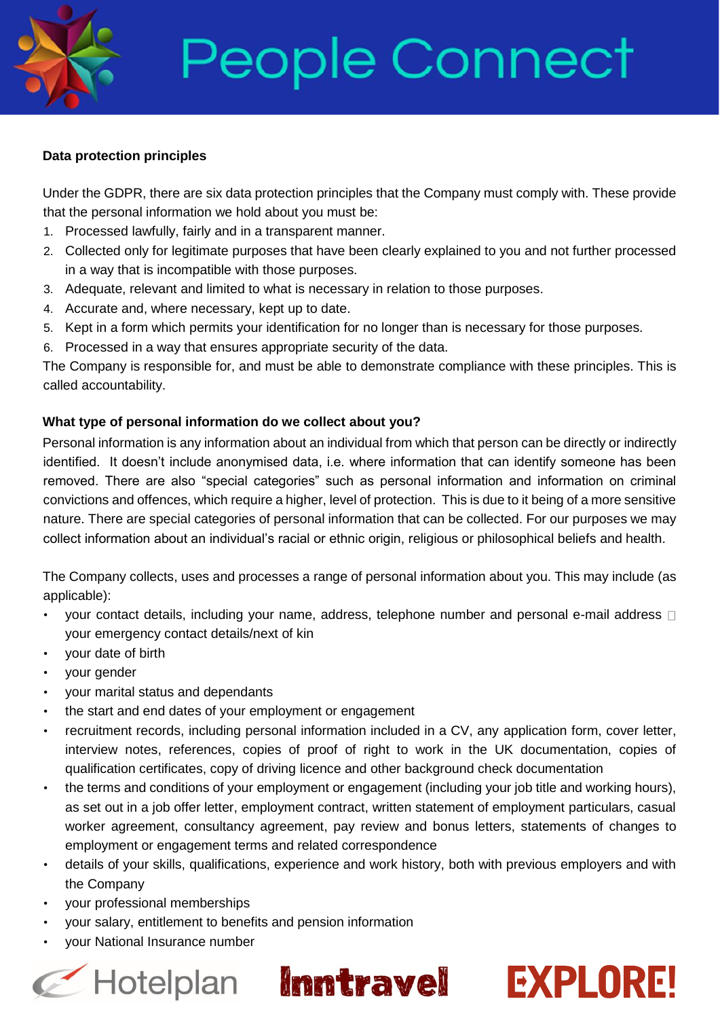#### **Data protection principles**

Under the GDPR, there are six data protection principles that the Company must comply with. These provide that the personal information we hold about you must be:

- 1. Processed lawfully, fairly and in a transparent manner.
- 2. Collected only for legitimate purposes that have been clearly explained to you and not further processed in a way that is incompatible with those purposes.
- 3. Adequate, relevant and limited to what is necessary in relation to those purposes.
- 4. Accurate and, where necessary, kept up to date.
- 5. Kept in a form which permits your identification for no longer than is necessary for those purposes.
- 6. Processed in a way that ensures appropriate security of the data.

The Company is responsible for, and must be able to demonstrate compliance with these principles. This is called accountability.

#### **What type of personal information do we collect about you?**

Personal information is any information about an individual from which that person can be directly or indirectly identified. It doesn't include anonymised data, i.e. where information that can identify someone has been removed. There are also "special categories" such as personal information and information on criminal convictions and offences, which require a higher, level of protection. This is due to it being of a more sensitive nature. There are special categories of personal information that can be collected. For our purposes we may collect information about an individual's racial or ethnic origin, religious or philosophical beliefs and health.

The Company collects, uses and processes a range of personal information about you. This may include (as applicable):

- your contact details, including your name, address, telephone number and personal e-mail address  $\Box$ your emergency contact details/next of kin
- your date of birth
- your gender
- your marital status and dependants
- the start and end dates of your employment or engagement
- recruitment records, including personal information included in a CV, any application form, cover letter, interview notes, references, copies of proof of right to work in the UK documentation, copies of qualification certificates, copy of driving licence and other background check documentation
- the terms and conditions of your employment or engagement (including your job title and working hours), as set out in a job offer letter, employment contract, written statement of employment particulars, casual worker agreement, consultancy agreement, pay review and bonus letters, statements of changes to employment or engagement terms and related correspondence
- details of your skills, qualifications, experience and work history, both with previous employers and with the Company
- your professional memberships
- your salary, entitlement to benefits and pension information
- your National Insurance number

### C Hotelplan Inntravel EXPLORE!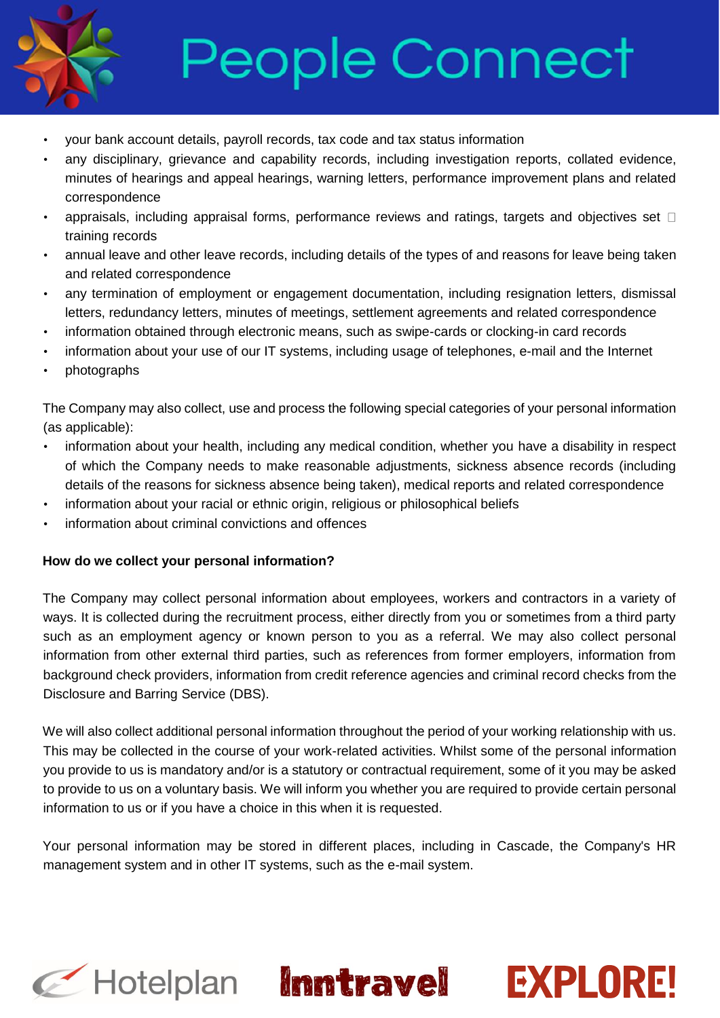

- your bank account details, payroll records, tax code and tax status information
- any disciplinary, grievance and capability records, including investigation reports, collated evidence, minutes of hearings and appeal hearings, warning letters, performance improvement plans and related correspondence
- appraisals, including appraisal forms, performance reviews and ratings, targets and objectives set  $\Box$ training records
- annual leave and other leave records, including details of the types of and reasons for leave being taken and related correspondence
- any termination of employment or engagement documentation, including resignation letters, dismissal letters, redundancy letters, minutes of meetings, settlement agreements and related correspondence
- information obtained through electronic means, such as swipe-cards or clocking-in card records
- information about your use of our IT systems, including usage of telephones, e-mail and the Internet
- photographs

The Company may also collect, use and process the following special categories of your personal information (as applicable):

- information about your health, including any medical condition, whether you have a disability in respect of which the Company needs to make reasonable adjustments, sickness absence records (including details of the reasons for sickness absence being taken), medical reports and related correspondence
- information about your racial or ethnic origin, religious or philosophical beliefs
- information about criminal convictions and offences

### **How do we collect your personal information?**

The Company may collect personal information about employees, workers and contractors in a variety of ways. It is collected during the recruitment process, either directly from you or sometimes from a third party such as an employment agency or known person to you as a referral. We may also collect personal information from other external third parties, such as references from former employers, information from background check providers, information from credit reference agencies and criminal record checks from the Disclosure and Barring Service (DBS).

We will also collect additional personal information throughout the period of your working relationship with us. This may be collected in the course of your work-related activities. Whilst some of the personal information you provide to us is mandatory and/or is a statutory or contractual requirement, some of it you may be asked to provide to us on a voluntary basis. We will inform you whether you are required to provide certain personal information to us or if you have a choice in this when it is requested.

Your personal information may be stored in different places, including in Cascade, the Company's HR management system and in other IT systems, such as the e-mail system.





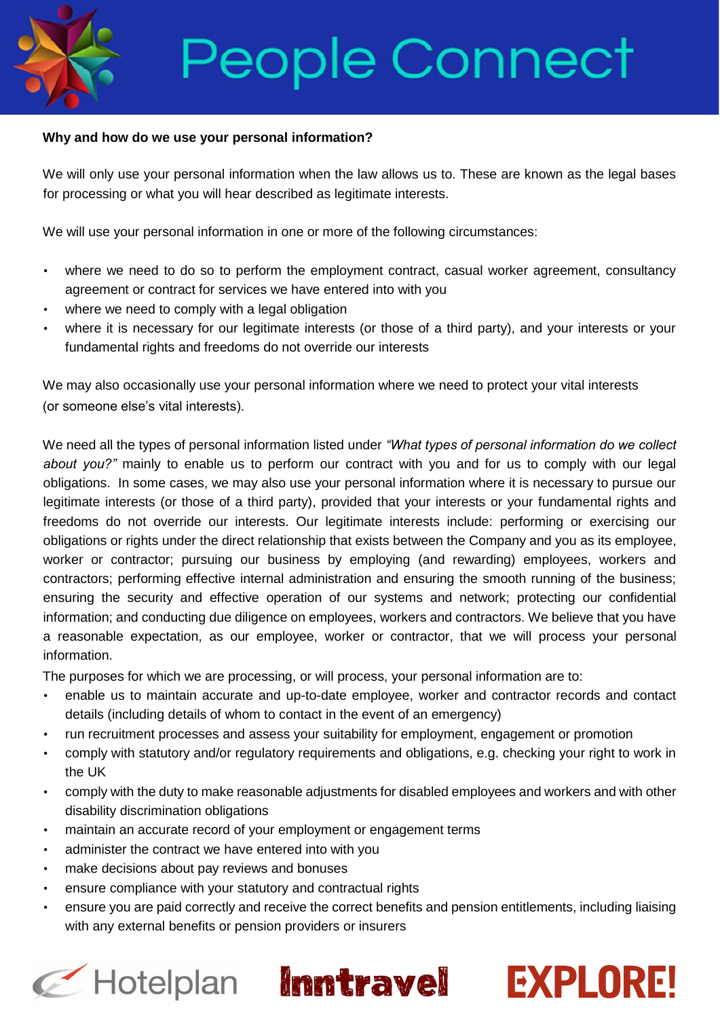#### **Why and how do we use your personal information?**

We will only use your personal information when the law allows us to. These are known as the legal bases for processing or what you will hear described as legitimate interests.

We will use your personal information in one or more of the following circumstances:

- where we need to do so to perform the employment contract, casual worker agreement, consultancy agreement or contract for services we have entered into with you
- where we need to comply with a legal obligation
- where it is necessary for our legitimate interests (or those of a third party), and your interests or your fundamental rights and freedoms do not override our interests

We may also occasionally use your personal information where we need to protect your vital interests (or someone else's vital interests).

We need all the types of personal information listed under *"What types of personal information do we collect about you?"* mainly to enable us to perform our contract with you and for us to comply with our legal obligations. In some cases, we may also use your personal information where it is necessary to pursue our legitimate interests (or those of a third party), provided that your interests or your fundamental rights and freedoms do not override our interests. Our legitimate interests include: performing or exercising our obligations or rights under the direct relationship that exists between the Company and you as its employee, worker or contractor; pursuing our business by employing (and rewarding) employees, workers and contractors; performing effective internal administration and ensuring the smooth running of the business; ensuring the security and effective operation of our systems and network; protecting our confidential information; and conducting due diligence on employees, workers and contractors. We believe that you have a reasonable expectation, as our employee, worker or contractor, that we will process your personal information.

The purposes for which we are processing, or will process, your personal information are to:

- enable us to maintain accurate and up-to-date employee, worker and contractor records and contact details (including details of whom to contact in the event of an emergency)
- run recruitment processes and assess your suitability for employment, engagement or promotion
- comply with statutory and/or regulatory requirements and obligations, e.g. checking your right to work in the UK
- comply with the duty to make reasonable adjustments for disabled employees and workers and with other disability discrimination obligations
- maintain an accurate record of your employment or engagement terms
- administer the contract we have entered into with you
- make decisions about pay reviews and bonuses
- ensure compliance with your statutory and contractual rights
- ensure you are paid correctly and receive the correct benefits and pension entitlements, including liaising with any external benefits or pension providers or insurers

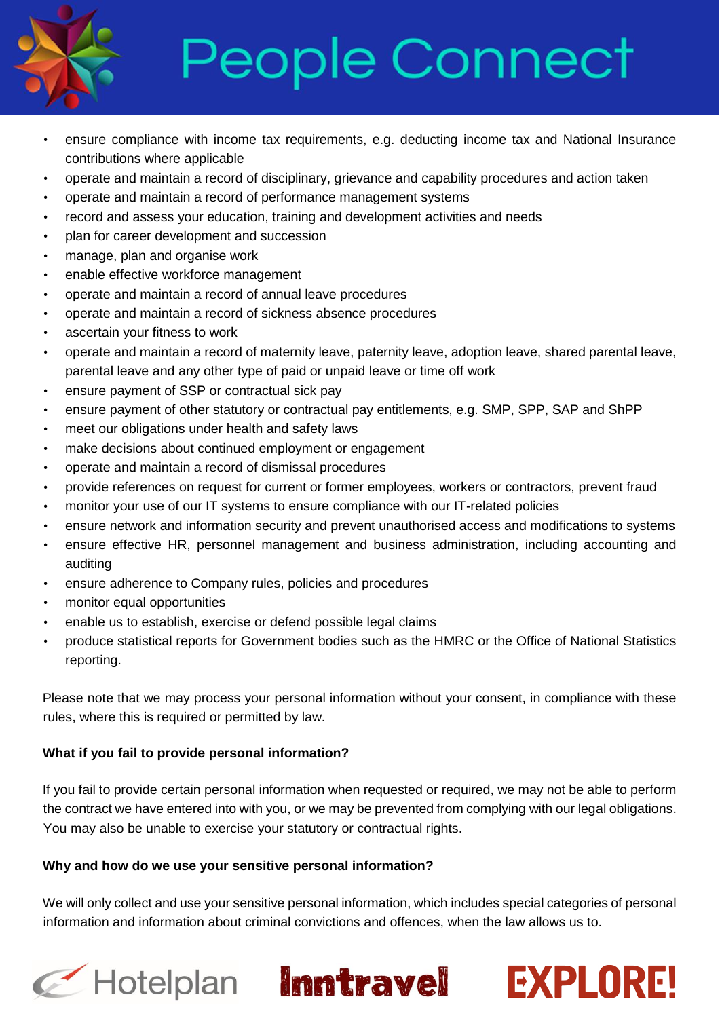

- ensure compliance with income tax requirements, e.g. deducting income tax and National Insurance contributions where applicable
- operate and maintain a record of disciplinary, grievance and capability procedures and action taken
- operate and maintain a record of performance management systems
- record and assess your education, training and development activities and needs
- plan for career development and succession
- manage, plan and organise work
- enable effective workforce management
- operate and maintain a record of annual leave procedures
- operate and maintain a record of sickness absence procedures
- ascertain your fitness to work
- operate and maintain a record of maternity leave, paternity leave, adoption leave, shared parental leave, parental leave and any other type of paid or unpaid leave or time off work
- ensure payment of SSP or contractual sick pay
- ensure payment of other statutory or contractual pay entitlements, e.g. SMP, SPP, SAP and ShPP
- meet our obligations under health and safety laws
- make decisions about continued employment or engagement
- operate and maintain a record of dismissal procedures
- provide references on request for current or former employees, workers or contractors, prevent fraud
- monitor your use of our IT systems to ensure compliance with our IT-related policies
- ensure network and information security and prevent unauthorised access and modifications to systems
- ensure effective HR, personnel management and business administration, including accounting and auditing
- ensure adherence to Company rules, policies and procedures
- monitor equal opportunities
- enable us to establish, exercise or defend possible legal claims
- produce statistical reports for Government bodies such as the HMRC or the Office of National Statistics reporting.

Please note that we may process your personal information without your consent, in compliance with these rules, where this is required or permitted by law.

### **What if you fail to provide personal information?**

If you fail to provide certain personal information when requested or required, we may not be able to perform the contract we have entered into with you, or we may be prevented from complying with our legal obligations. You may also be unable to exercise your statutory or contractual rights.

### **Why and how do we use your sensitive personal information?**

We will only collect and use your sensitive personal information, which includes special categories of personal information and information about criminal convictions and offences, when the law allows us to.

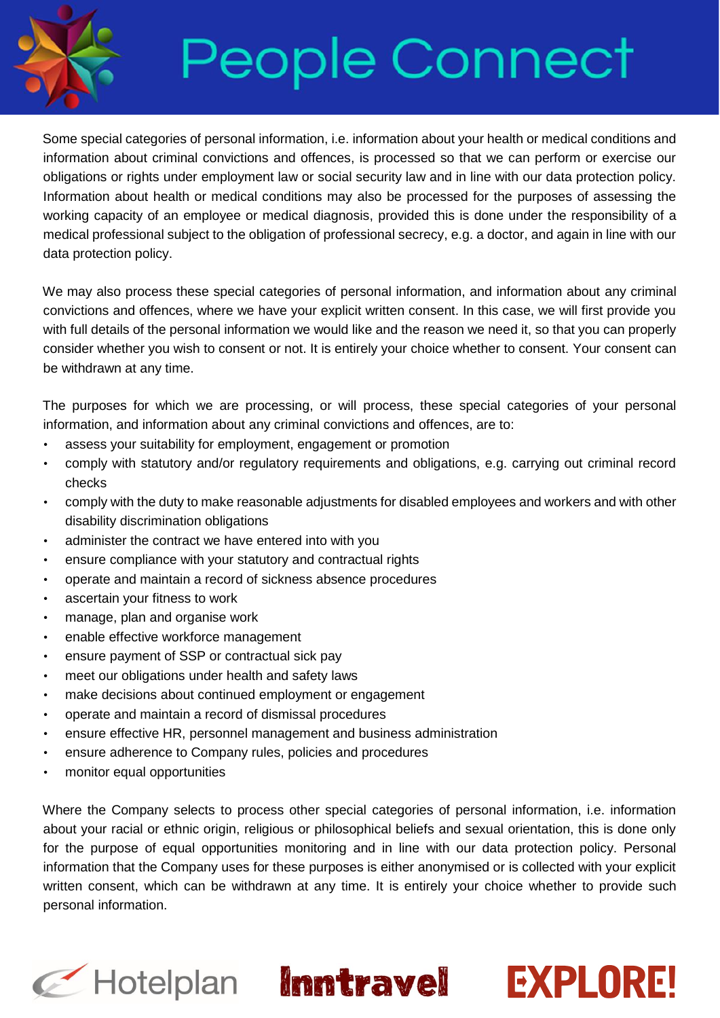

Some special categories of personal information, i.e. information about your health or medical conditions and information about criminal convictions and offences, is processed so that we can perform or exercise our obligations or rights under employment law or social security law and in line with our data protection policy. Information about health or medical conditions may also be processed for the purposes of assessing the working capacity of an employee or medical diagnosis, provided this is done under the responsibility of a medical professional subject to the obligation of professional secrecy, e.g. a doctor, and again in line with our data protection policy.

We may also process these special categories of personal information, and information about any criminal convictions and offences, where we have your explicit written consent. In this case, we will first provide you with full details of the personal information we would like and the reason we need it, so that you can properly consider whether you wish to consent or not. It is entirely your choice whether to consent. Your consent can be withdrawn at any time.

The purposes for which we are processing, or will process, these special categories of your personal information, and information about any criminal convictions and offences, are to:

- assess your suitability for employment, engagement or promotion
- comply with statutory and/or regulatory requirements and obligations, e.g. carrying out criminal record checks
- comply with the duty to make reasonable adjustments for disabled employees and workers and with other disability discrimination obligations
- administer the contract we have entered into with you
- ensure compliance with your statutory and contractual rights
- operate and maintain a record of sickness absence procedures
- ascertain your fitness to work
- manage, plan and organise work
- enable effective workforce management
- ensure payment of SSP or contractual sick pay
- meet our obligations under health and safety laws
- make decisions about continued employment or engagement
- operate and maintain a record of dismissal procedures
- ensure effective HR, personnel management and business administration
- ensure adherence to Company rules, policies and procedures
- monitor equal opportunities

Where the Company selects to process other special categories of personal information, i.e. information about your racial or ethnic origin, religious or philosophical beliefs and sexual orientation, this is done only for the purpose of equal opportunities monitoring and in line with our data protection policy. Personal information that the Company uses for these purposes is either anonymised or is collected with your explicit written consent, which can be withdrawn at any time. It is entirely your choice whether to provide such personal information.





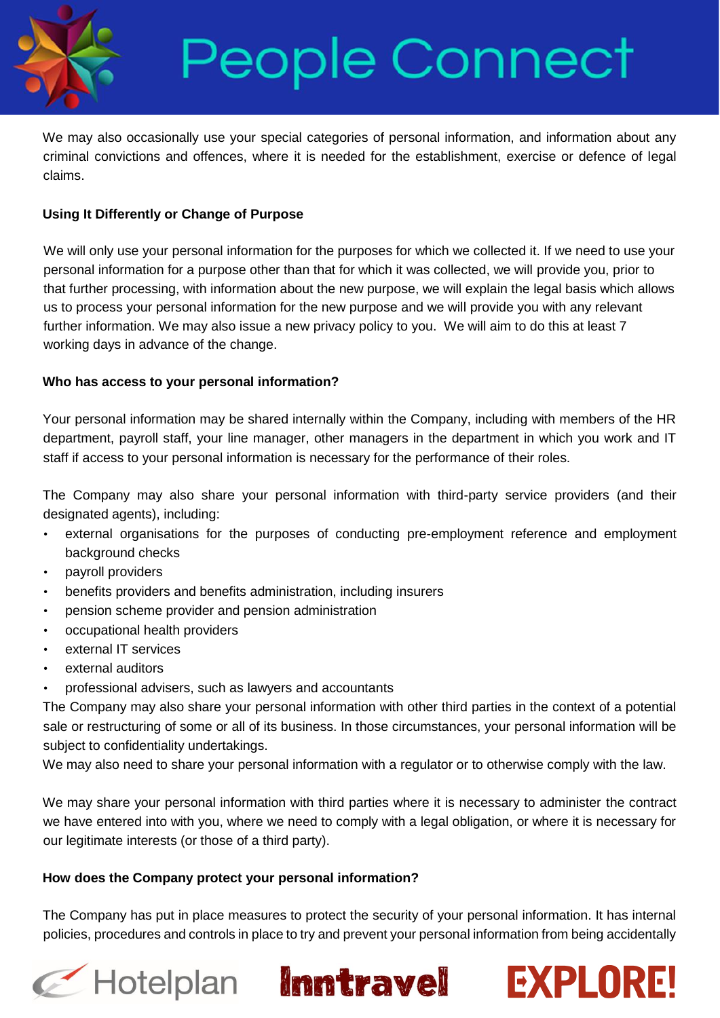

We may also occasionally use your special categories of personal information, and information about any criminal convictions and offences, where it is needed for the establishment, exercise or defence of legal claims.

### **Using It Differently or Change of Purpose**

We will only use your personal information for the purposes for which we collected it. If we need to use your personal information for a purpose other than that for which it was collected, we will provide you, prior to that further processing, with information about the new purpose, we will explain the legal basis which allows us to process your personal information for the new purpose and we will provide you with any relevant further information. We may also issue a new privacy policy to you. We will aim to do this at least 7 working days in advance of the change.

### **Who has access to your personal information?**

Your personal information may be shared internally within the Company, including with members of the HR department, payroll staff, your line manager, other managers in the department in which you work and IT staff if access to your personal information is necessary for the performance of their roles.

The Company may also share your personal information with third-party service providers (and their designated agents), including:

- external organisations for the purposes of conducting pre-employment reference and employment background checks
- payroll providers
- benefits providers and benefits administration, including insurers
- pension scheme provider and pension administration
- occupational health providers
- external IT services
- external auditors
- professional advisers, such as lawyers and accountants

The Company may also share your personal information with other third parties in the context of a potential sale or restructuring of some or all of its business. In those circumstances, your personal information will be subject to confidentiality undertakings.

We may also need to share your personal information with a regulator or to otherwise comply with the law.

We may share your personal information with third parties where it is necessary to administer the contract we have entered into with you, where we need to comply with a legal obligation, or where it is necessary for our legitimate interests (or those of a third party).

#### **How does the Company protect your personal information?**

The Company has put in place measures to protect the security of your personal information. It has internal policies, procedures and controls in place to try and prevent your personal information from being accidentally

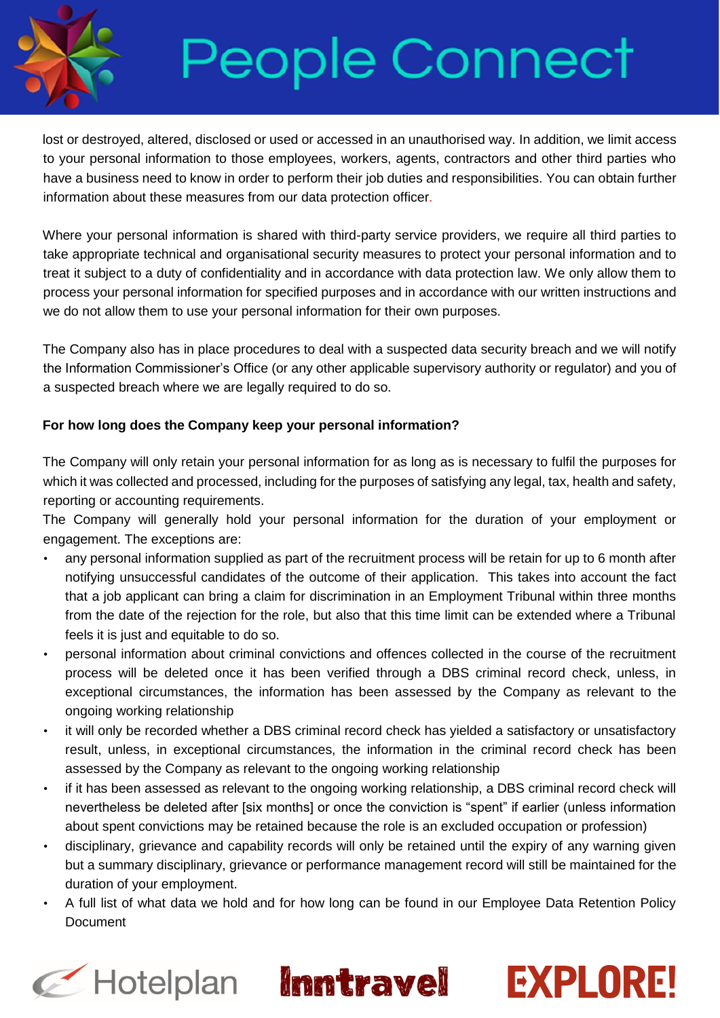

lost or destroyed, altered, disclosed or used or accessed in an unauthorised way. In addition, we limit access to your personal information to those employees, workers, agents, contractors and other third parties who have a business need to know in order to perform their job duties and responsibilities. You can obtain further information about these measures from our data protection officer*.* 

Where your personal information is shared with third-party service providers, we require all third parties to take appropriate technical and organisational security measures to protect your personal information and to treat it subject to a duty of confidentiality and in accordance with data protection law. We only allow them to process your personal information for specified purposes and in accordance with our written instructions and we do not allow them to use your personal information for their own purposes.

The Company also has in place procedures to deal with a suspected data security breach and we will notify the Information Commissioner's Office (or any other applicable supervisory authority or regulator) and you of a suspected breach where we are legally required to do so.

### **For how long does the Company keep your personal information?**

The Company will only retain your personal information for as long as is necessary to fulfil the purposes for which it was collected and processed, including for the purposes of satisfying any legal, tax, health and safety, reporting or accounting requirements.

The Company will generally hold your personal information for the duration of your employment or engagement. The exceptions are:

- any personal information supplied as part of the recruitment process will be retain for up to 6 month after notifying unsuccessful candidates of the outcome of their application. This takes into account the fact that a job applicant can bring a claim for discrimination in an Employment Tribunal within three months from the date of the rejection for the role, but also that this time limit can be extended where a Tribunal feels it is just and equitable to do so.
- personal information about criminal convictions and offences collected in the course of the recruitment process will be deleted once it has been verified through a DBS criminal record check, unless, in exceptional circumstances, the information has been assessed by the Company as relevant to the ongoing working relationship
- it will only be recorded whether a DBS criminal record check has yielded a satisfactory or unsatisfactory result, unless, in exceptional circumstances, the information in the criminal record check has been assessed by the Company as relevant to the ongoing working relationship
- if it has been assessed as relevant to the ongoing working relationship, a DBS criminal record check will nevertheless be deleted after [six months] or once the conviction is "spent" if earlier (unless information about spent convictions may be retained because the role is an excluded occupation or profession)
- disciplinary, grievance and capability records will only be retained until the expiry of any warning given but a summary disciplinary, grievance or performance management record will still be maintained for the duration of your employment.
- A full list of what data we hold and for how long can be found in our Employee Data Retention Policy Document





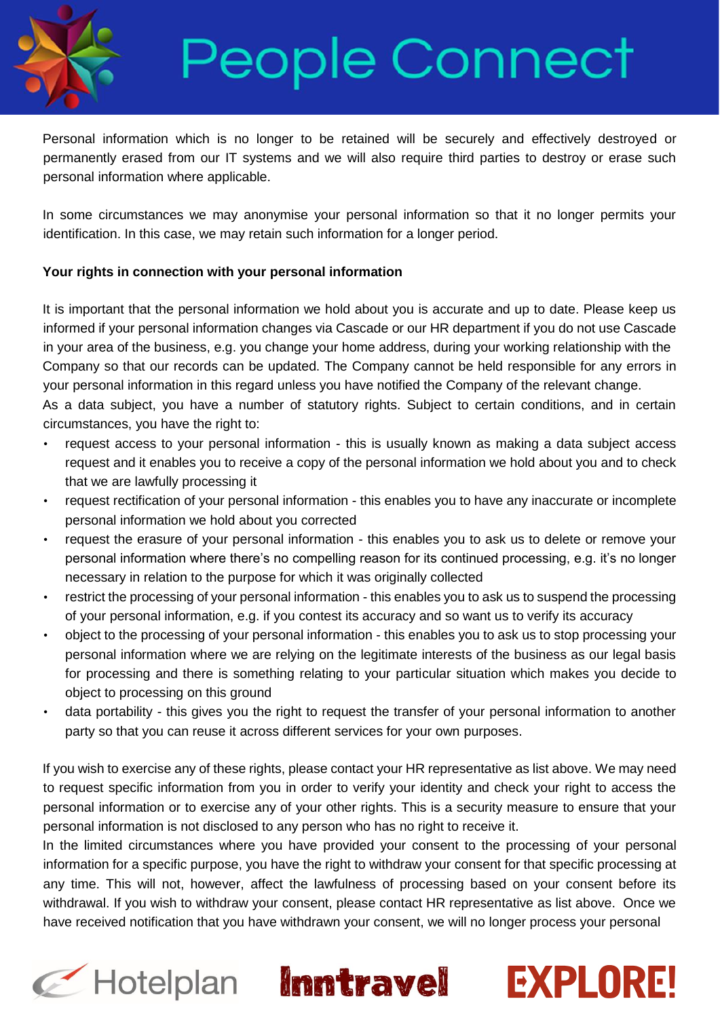

Personal information which is no longer to be retained will be securely and effectively destroyed or permanently erased from our IT systems and we will also require third parties to destroy or erase such personal information where applicable.

In some circumstances we may anonymise your personal information so that it no longer permits your identification. In this case, we may retain such information for a longer period.

### **Your rights in connection with your personal information**

It is important that the personal information we hold about you is accurate and up to date. Please keep us informed if your personal information changes via Cascade or our HR department if you do not use Cascade in your area of the business, e.g. you change your home address, during your working relationship with the Company so that our records can be updated. The Company cannot be held responsible for any errors in your personal information in this regard unless you have notified the Company of the relevant change.

As a data subject, you have a number of statutory rights. Subject to certain conditions, and in certain circumstances, you have the right to:

- request access to your personal information this is usually known as making a data subject access request and it enables you to receive a copy of the personal information we hold about you and to check that we are lawfully processing it
- request rectification of your personal information this enables you to have any inaccurate or incomplete personal information we hold about you corrected
- request the erasure of your personal information this enables you to ask us to delete or remove your personal information where there's no compelling reason for its continued processing, e.g. it's no longer necessary in relation to the purpose for which it was originally collected
- restrict the processing of your personal information this enables you to ask us to suspend the processing of your personal information, e.g. if you contest its accuracy and so want us to verify its accuracy
- object to the processing of your personal information this enables you to ask us to stop processing your personal information where we are relying on the legitimate interests of the business as our legal basis for processing and there is something relating to your particular situation which makes you decide to object to processing on this ground
- data portability this gives you the right to request the transfer of your personal information to another party so that you can reuse it across different services for your own purposes.

If you wish to exercise any of these rights, please contact your HR representative as list above. We may need to request specific information from you in order to verify your identity and check your right to access the personal information or to exercise any of your other rights. This is a security measure to ensure that your personal information is not disclosed to any person who has no right to receive it.

In the limited circumstances where you have provided your consent to the processing of your personal information for a specific purpose, you have the right to withdraw your consent for that specific processing at any time. This will not, however, affect the lawfulness of processing based on your consent before its withdrawal. If you wish to withdraw your consent, please contact HR representative as list above. Once we have received notification that you have withdrawn your consent, we will no longer process your personal